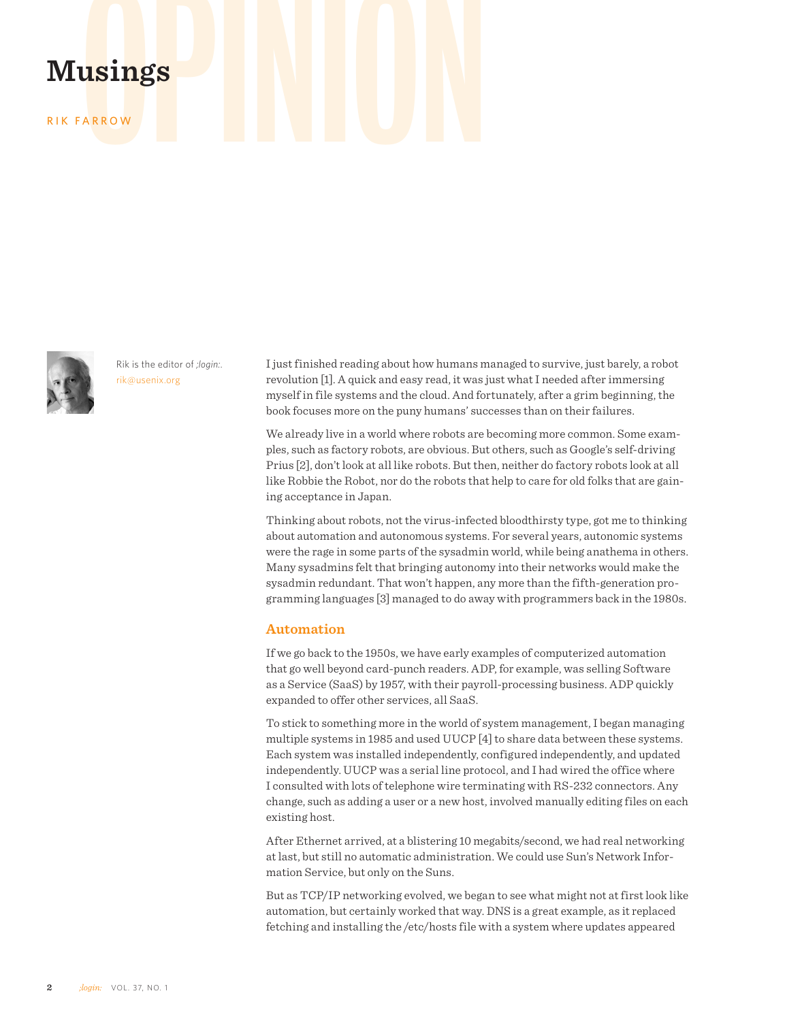# **Musings**<br>RIK FARROW

RIK FARROW



Rik is the editor of *;login:*. rik@usenix.org

I just finished reading about how humans managed to survive, just barely, a robot revolution [1]. A quick and easy read, it was just what I needed after immersing myself in file systems and the cloud. And fortunately, after a grim beginning, the book focuses more on the puny humans' successes than on their failures.

We already live in a world where robots are becoming more common. Some examples, such as factory robots, are obvious. But others, such as Google's self-driving Prius [2], don't look at all like robots. But then, neither do factory robots look at all like Robbie the Robot, nor do the robots that help to care for old folks that are gaining acceptance in Japan.

Thinking about robots, not the virus-infected bloodthirsty type, got me to thinking about automation and autonomous systems. For several years, autonomic systems were the rage in some parts of the sysadmin world, while being anathema in others. Many sysadmins felt that bringing autonomy into their networks would make the sysadmin redundant. That won't happen, any more than the fifth-generation programming languages [3] managed to do away with programmers back in the 1980s.

## **Automation**

If we go back to the 1950s, we have early examples of computerized automation that go well beyond card-punch readers. ADP, for example, was selling Software as a Service (SaaS) by 1957, with their payroll-processing business. ADP quickly expanded to offer other services, all SaaS.

To stick to something more in the world of system management, I began managing multiple systems in 1985 and used UUCP [4] to share data between these systems. Each system was installed independently, configured independently, and updated independently. UUCP was a serial line protocol, and I had wired the office where I consulted with lots of telephone wire terminating with RS-232 connectors. Any change, such as adding a user or a new host, involved manually editing files on each existing host.

After Ethernet arrived, at a blistering 10 megabits/second, we had real networking at last, but still no automatic administration. We could use Sun's Network Information Service, but only on the Suns.

But as TCP/IP networking evolved, we began to see what might not at first look like automation, but certainly worked that way. DNS is a great example, as it replaced fetching and installing the /etc/hosts file with a system where updates appeared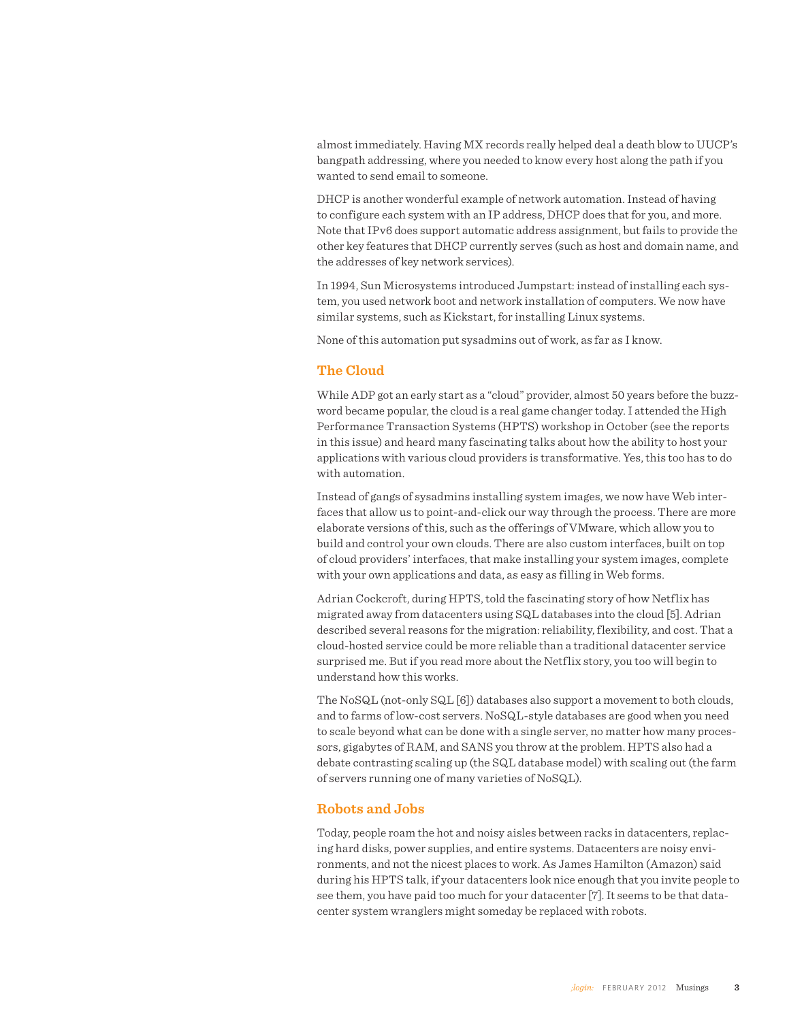almost immediately. Having MX records really helped deal a death blow to UUCP's bangpath addressing, where you needed to know every host along the path if you wanted to send email to someone.

DHCP is another wonderful example of network automation. Instead of having to configure each system with an IP address, DHCP does that for you, and more. Note that IPv6 does support automatic address assignment, but fails to provide the other key features that DHCP currently serves (such as host and domain name, and the addresses of key network services).

In 1994, Sun Microsystems introduced Jumpstart: instead of installing each system, you used network boot and network installation of computers. We now have similar systems, such as Kickstart, for installing Linux systems.

None of this automation put sysadmins out of work, as far as I know.

## **The Cloud**

While ADP got an early start as a "cloud" provider, almost 50 years before the buzzword became popular, the cloud is a real game changer today. I attended the High Performance Transaction Systems (HPTS) workshop in October (see the reports in this issue) and heard many fascinating talks about how the ability to host your applications with various cloud providers is transformative. Yes, this too has to do with automation.

Instead of gangs of sysadmins installing system images, we now have Web interfaces that allow us to point-and-click our way through the process. There are more elaborate versions of this, such as the offerings of VMware, which allow you to build and control your own clouds. There are also custom interfaces, built on top of cloud providers' interfaces, that make installing your system images, complete with your own applications and data, as easy as filling in Web forms.

Adrian Cockcroft, during HPTS, told the fascinating story of how Netflix has migrated away from datacenters using SQL databases into the cloud [5]. Adrian described several reasons for the migration: reliability, flexibility, and cost. That a cloud-hosted service could be more reliable than a traditional datacenter service surprised me. But if you read more about the Netflix story, you too will begin to understand how this works.

The NoSQL (not-only SQL [6]) databases also support a movement to both clouds, and to farms of low-cost servers. NoSQL-style databases are good when you need to scale beyond what can be done with a single server, no matter how many processors, gigabytes of RAM, and SANS you throw at the problem. HPTS also had a debate contrasting scaling up (the SQL database model) with scaling out (the farm of servers running one of many varieties of NoSQL).

## **Robots and Jobs**

Today, people roam the hot and noisy aisles between racks in datacenters, replacing hard disks, power supplies, and entire systems. Datacenters are noisy environments, and not the nicest places to work. As James Hamilton (Amazon) said during his HPTS talk, if your datacenters look nice enough that you invite people to see them, you have paid too much for your datacenter [7]. It seems to be that datacenter system wranglers might someday be replaced with robots.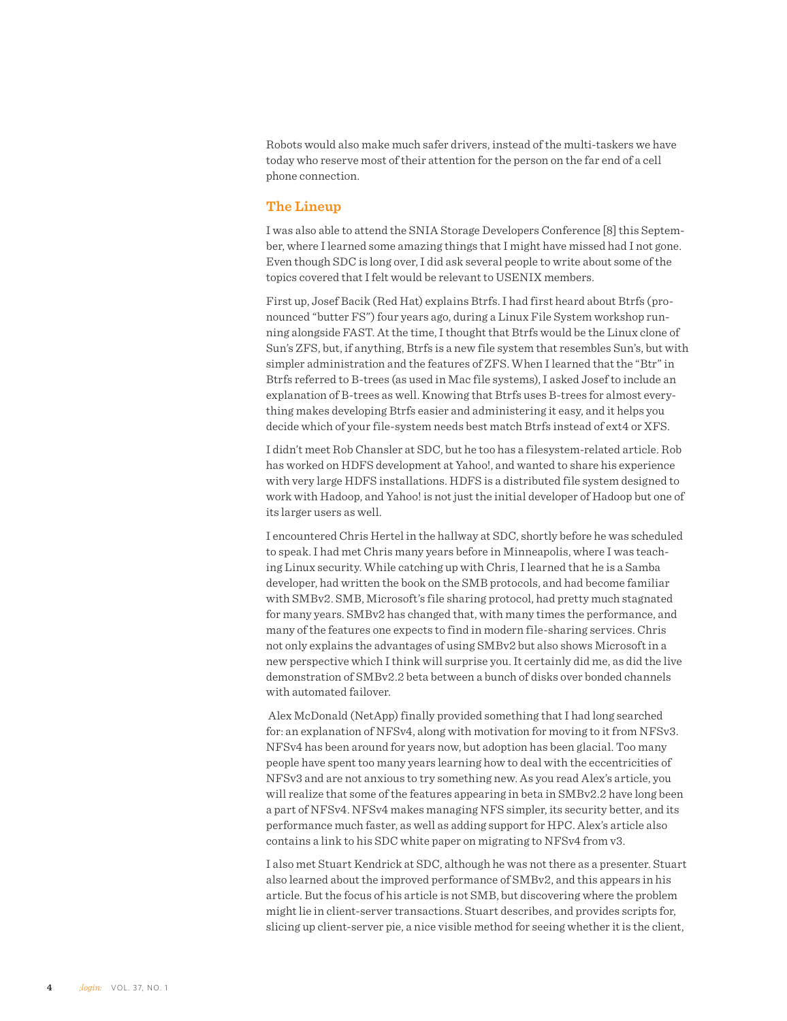Robots would also make much safer drivers, instead of the multi-taskers we have today who reserve most of their attention for the person on the far end of a cell phone connection.

# **The Lineup**

I was also able to attend the SNIA Storage Developers Conference [8] this September, where I learned some amazing things that I might have missed had I not gone. Even though SDC is long over, I did ask several people to write about some of the topics covered that I felt would be relevant to USENIX members.

First up, Josef Bacik (Red Hat) explains Btrfs. I had first heard about Btrfs (pronounced "butter FS") four years ago, during a Linux File System workshop running alongside FAST. At the time, I thought that Btrfs would be the Linux clone of Sun's ZFS, but, if anything, Btrfs is a new file system that resembles Sun's, but with simpler administration and the features of ZFS. When I learned that the "Btr" in Btrfs referred to B-trees (as used in Mac file systems), I asked Josef to include an explanation of B-trees as well. Knowing that Btrfs uses B-trees for almost everything makes developing Btrfs easier and administering it easy, and it helps you decide which of your file-system needs best match Btrfs instead of ext4 or XFS.

I didn't meet Rob Chansler at SDC, but he too has a filesystem-related article. Rob has worked on HDFS development at Yahoo!, and wanted to share his experience with very large HDFS installations. HDFS is a distributed file system designed to work with Hadoop, and Yahoo! is not just the initial developer of Hadoop but one of its larger users as well.

I encountered Chris Hertel in the hallway at SDC, shortly before he was scheduled to speak. I had met Chris many years before in Minneapolis, where I was teaching Linux security. While catching up with Chris, I learned that he is a Samba developer, had written the book on the SMB protocols, and had become familiar with SMBv2. SMB, Microsoft's file sharing protocol, had pretty much stagnated for many years. SMBv2 has changed that, with many times the performance, and many of the features one expects to find in modern file-sharing services. Chris not only explains the advantages of using SMBv2 but also shows Microsoft in a new perspective which I think will surprise you. It certainly did me, as did the live demonstration of SMBv2.2 beta between a bunch of disks over bonded channels with automated failover.

 Alex McDonald (NetApp) finally provided something that I had long searched for: an explanation of NFSv4, along with motivation for moving to it from NFSv3. NFSv4 has been around for years now, but adoption has been glacial. Too many people have spent too many years learning how to deal with the eccentricities of NFSv3 and are not anxious to try something new. As you read Alex's article, you will realize that some of the features appearing in beta in SMBv2.2 have long been a part of NFSv4. NFSv4 makes managing NFS simpler, its security better, and its performance much faster, as well as adding support for HPC. Alex's article also contains a link to his SDC white paper on migrating to NFSv4 from v3.

I also met Stuart Kendrick at SDC, although he was not there as a presenter. Stuart also learned about the improved performance of SMBv2, and this appears in his article. But the focus of his article is not SMB, but discovering where the problem might lie in client-server transactions. Stuart describes, and provides scripts for, slicing up client-server pie, a nice visible method for seeing whether it is the client,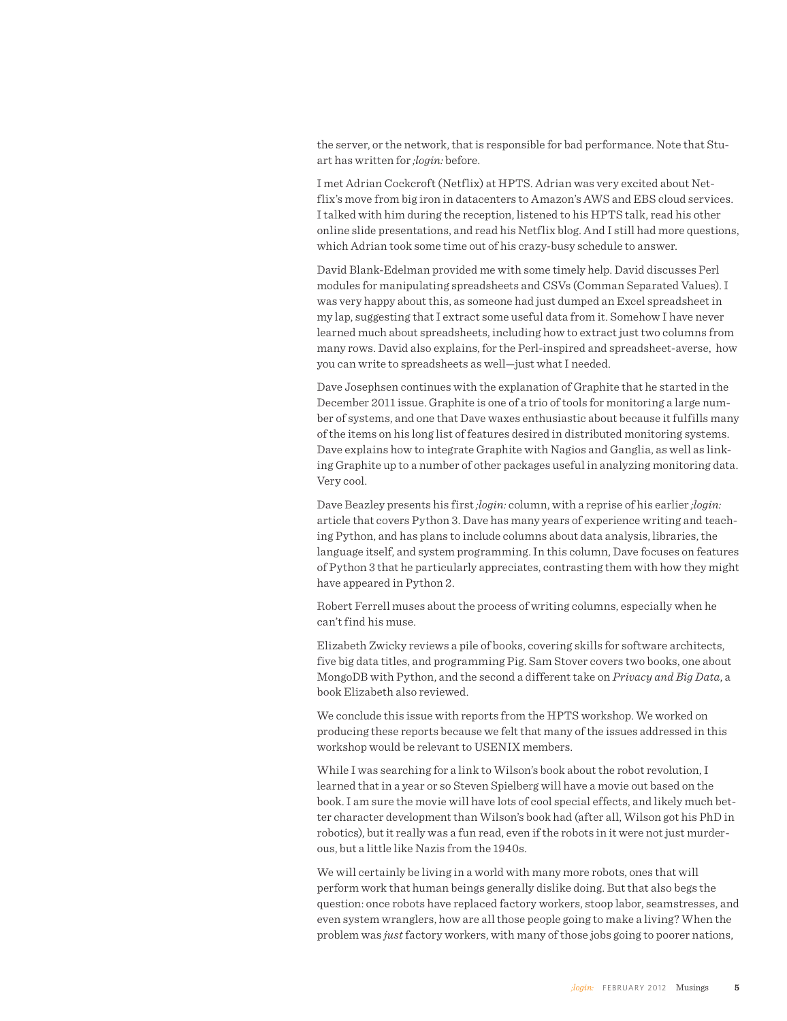the server, or the network, that is responsible for bad performance. Note that Stuart has written for *;login:* before.

I met Adrian Cockcroft (Netflix) at HPTS. Adrian was very excited about Netflix's move from big iron in datacenters to Amazon's AWS and EBS cloud services. I talked with him during the reception, listened to his HPTS talk, read his other online slide presentations, and read his Netflix blog. And I still had more questions, which Adrian took some time out of his crazy-busy schedule to answer.

David Blank-Edelman provided me with some timely help. David discusses Perl modules for manipulating spreadsheets and CSVs (Comman Separated Values). I was very happy about this, as someone had just dumped an Excel spreadsheet in my lap, suggesting that I extract some useful data from it. Somehow I have never learned much about spreadsheets, including how to extract just two columns from many rows. David also explains, for the Perl-inspired and spreadsheet-averse, how you can write to spreadsheets as well—just what I needed.

Dave Josephsen continues with the explanation of Graphite that he started in the December 2011 issue. Graphite is one of a trio of tools for monitoring a large number of systems, and one that Dave waxes enthusiastic about because it fulfills many of the items on his long list of features desired in distributed monitoring systems. Dave explains how to integrate Graphite with Nagios and Ganglia, as well as linking Graphite up to a number of other packages useful in analyzing monitoring data. Very cool.

Dave Beazley presents his first *;login:* column, with a reprise of his earlier *;login:* article that covers Python 3. Dave has many years of experience writing and teaching Python, and has plans to include columns about data analysis, libraries, the language itself, and system programming. In this column, Dave focuses on features of Python 3 that he particularly appreciates, contrasting them with how they might have appeared in Python 2.

Robert Ferrell muses about the process of writing columns, especially when he can't find his muse.

Elizabeth Zwicky reviews a pile of books, covering skills for software architects, five big data titles, and programming Pig. Sam Stover covers two books, one about MongoDB with Python, and the second a different take on *Privacy and Big Data*, a book Elizabeth also reviewed.

We conclude this issue with reports from the HPTS workshop. We worked on producing these reports because we felt that many of the issues addressed in this workshop would be relevant to USENIX members.

While I was searching for a link to Wilson's book about the robot revolution, I learned that in a year or so Steven Spielberg will have a movie out based on the book. I am sure the movie will have lots of cool special effects, and likely much better character development than Wilson's book had (after all, Wilson got his PhD in robotics), but it really was a fun read, even if the robots in it were not just murderous, but a little like Nazis from the 1940s.

We will certainly be living in a world with many more robots, ones that will perform work that human beings generally dislike doing. But that also begs the question: once robots have replaced factory workers, stoop labor, seamstresses, and even system wranglers, how are all those people going to make a living? When the problem was *just* factory workers, with many of those jobs going to poorer nations,